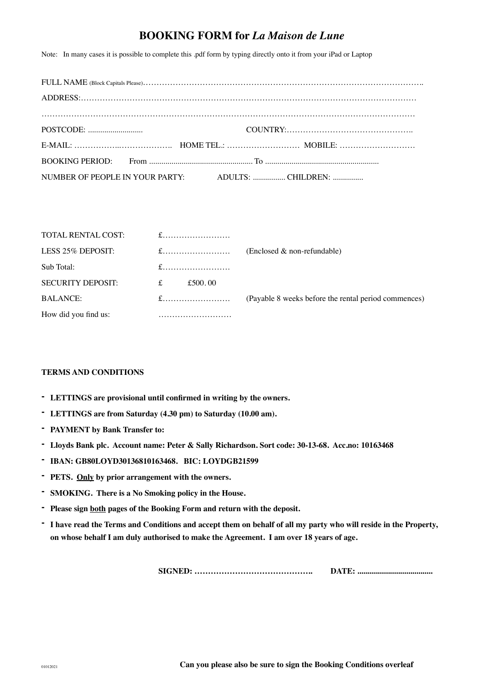## **BOOKING FORM for** *La Maison de Lune*

Note: In many cases it is possible to complete this .pdf form by typing directly onto it from your iPad or Laptop

| NUMBER OF PEOPLE IN YOUR PARTY: ADULTS:  CHILDREN: |  |
|----------------------------------------------------|--|

| TOTAL RENTAL COST:       |         |                                                      |
|--------------------------|---------|------------------------------------------------------|
| LESS 25% DEPOSIT:        | $f$     | $(Enclosed & non-refundable)$                        |
| Sub Total:               |         |                                                      |
| <b>SECURITY DEPOSIT:</b> | £500.00 |                                                      |
| <b>BALANCE:</b>          | $f$     | (Payable 8 weeks before the rental period commences) |
| How did you find us:     |         |                                                      |

## **TERMS AND CONDITIONS**

- **- LETTINGS are provisional until confirmed in writing by the owners.**
- **- LETTINGS are from Saturday (4.30 pm) to Saturday (10.00 am).**
- **- PAYMENT by Bank Transfer to:**
- **- Lloyds Bank plc. Account name: Peter & Sally Richardson. Sort code: 30-13-68. Acc.no: 10163468**
- **- IBAN: GB80LOYD30136810163468. BIC: LOYDGB21599**
- **- PETS. Only by prior arrangement with the owners.**
- **- SMOKING. There is a No Smoking policy in the House.**
- **- Please sign both pages of the Booking Form and return with the deposit.**
- **- I have read the Terms and Conditions and accept them on behalf of all my party who will reside in the Property, on whose behalf I am duly authorised to make the Agreement. I am over 18 years of age.**

**SIGNED: …………………………………….. DATE: .....................................**